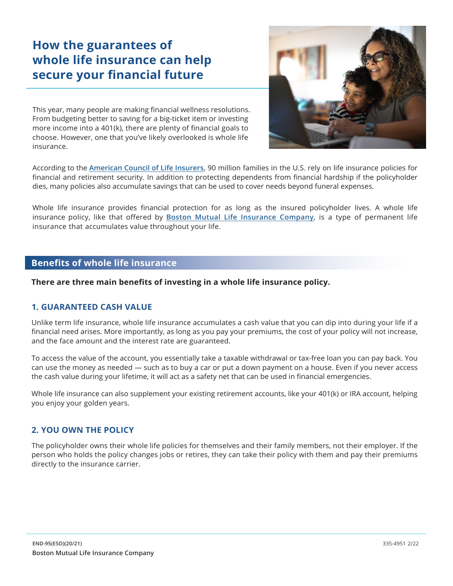# **How the guarantees of whole life insurance can help secure your financial future**

This year, many people are making financial wellness resolutions. From budgeting better to saving for a big-ticket item or investing more income into a 401(k), there are plenty of financial goals to choose. However, one that you've likely overlooked is whole life insurance.



According to the **[American Council of Life Insurers](https://lifehappens.org/press/2020-insurance-barometer-study-reveals-a-significant-decline-in-life-insurance-ownership-over-the-past-decade/)**, 90 million families in the U.S. rely on life insurance policies for financial and retirement security. In addition to protecting dependents from financial hardship if the policyholder dies, many policies also accumulate savings that can be used to cover needs beyond funeral expenses.

 insurance policy, like that offered by **[Boston Mutual Life Insurance Company](https://www.bostonmutual.com/)**, is a type of permanent life Whole life insurance provides financial protection for as long as the insured policyholder lives. A whole life insurance that accumulates value throughout your life.

## **Benefits of whole life insurance**

**There are three main benefits of investing in a whole life insurance policy.**

### **1. GUARANTEED CASH VALUE**

Unlike term life insurance, whole life insurance accumulates a cash value that you can dip into during your life if a financial need arises. More importantly, as long as you pay your premiums, the cost of your policy will not increase, and the face amount and the interest rate are guaranteed.

To access the value of the account, you essentially take a taxable withdrawal or tax-free loan you can pay back. You can use the money as needed — such as to buy a car or put a down payment on a house. Even if you never access the cash value during your lifetime, it will act as a safety net that can be used in financial emergencies.

Whole life insurance can also supplement your existing retirement accounts, like your 401(k) or IRA account, helping you enjoy your golden years.

### **2. YOU OWN THE POLICY**

The policyholder owns their whole life policies for themselves and their family members, not their employer. If the person who holds the policy changes jobs or retires, they can take their policy with them and pay their premiums directly to the insurance carrier.